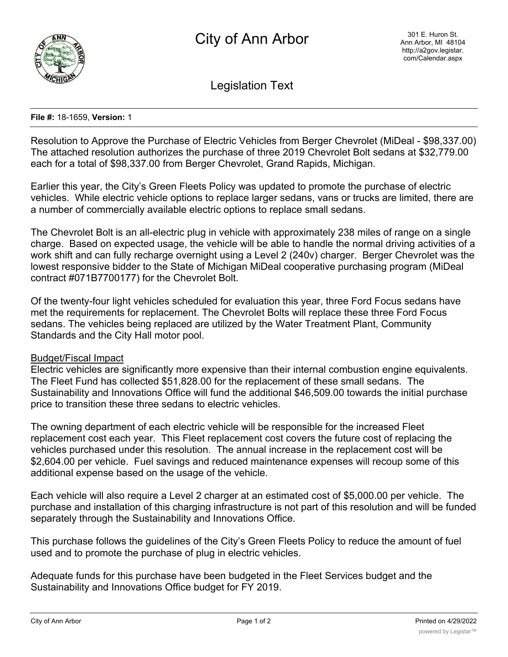

Legislation Text

## **File #:** 18-1659, **Version:** 1

Resolution to Approve the Purchase of Electric Vehicles from Berger Chevrolet (MiDeal - \$98,337.00) The attached resolution authorizes the purchase of three 2019 Chevrolet Bolt sedans at \$32,779.00 each for a total of \$98,337.00 from Berger Chevrolet, Grand Rapids, Michigan.

Earlier this year, the City's Green Fleets Policy was updated to promote the purchase of electric vehicles. While electric vehicle options to replace larger sedans, vans or trucks are limited, there are a number of commercially available electric options to replace small sedans.

The Chevrolet Bolt is an all-electric plug in vehicle with approximately 238 miles of range on a single charge. Based on expected usage, the vehicle will be able to handle the normal driving activities of a work shift and can fully recharge overnight using a Level 2 (240v) charger. Berger Chevrolet was the lowest responsive bidder to the State of Michigan MiDeal cooperative purchasing program (MiDeal contract #071B7700177) for the Chevrolet Bolt.

Of the twenty-four light vehicles scheduled for evaluation this year, three Ford Focus sedans have met the requirements for replacement. The Chevrolet Bolts will replace these three Ford Focus sedans. The vehicles being replaced are utilized by the Water Treatment Plant, Community Standards and the City Hall motor pool.

## Budget/Fiscal Impact

Electric vehicles are significantly more expensive than their internal combustion engine equivalents. The Fleet Fund has collected \$51,828.00 for the replacement of these small sedans. The Sustainability and Innovations Office will fund the additional \$46,509.00 towards the initial purchase price to transition these three sedans to electric vehicles.

The owning department of each electric vehicle will be responsible for the increased Fleet replacement cost each year. This Fleet replacement cost covers the future cost of replacing the vehicles purchased under this resolution. The annual increase in the replacement cost will be \$2,604.00 per vehicle. Fuel savings and reduced maintenance expenses will recoup some of this additional expense based on the usage of the vehicle.

Each vehicle will also require a Level 2 charger at an estimated cost of \$5,000.00 per vehicle. The purchase and installation of this charging infrastructure is not part of this resolution and will be funded separately through the Sustainability and Innovations Office.

This purchase follows the guidelines of the City's Green Fleets Policy to reduce the amount of fuel used and to promote the purchase of plug in electric vehicles.

Adequate funds for this purchase have been budgeted in the Fleet Services budget and the Sustainability and Innovations Office budget for FY 2019.